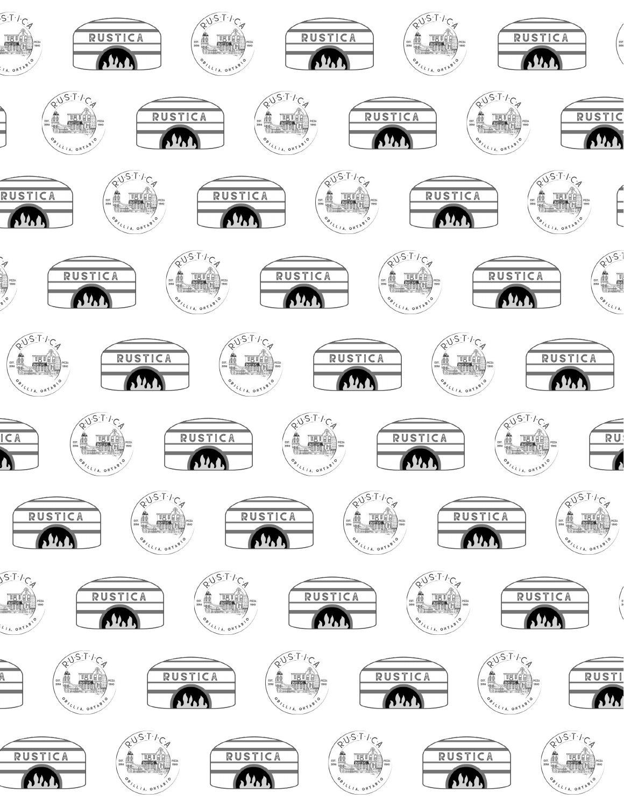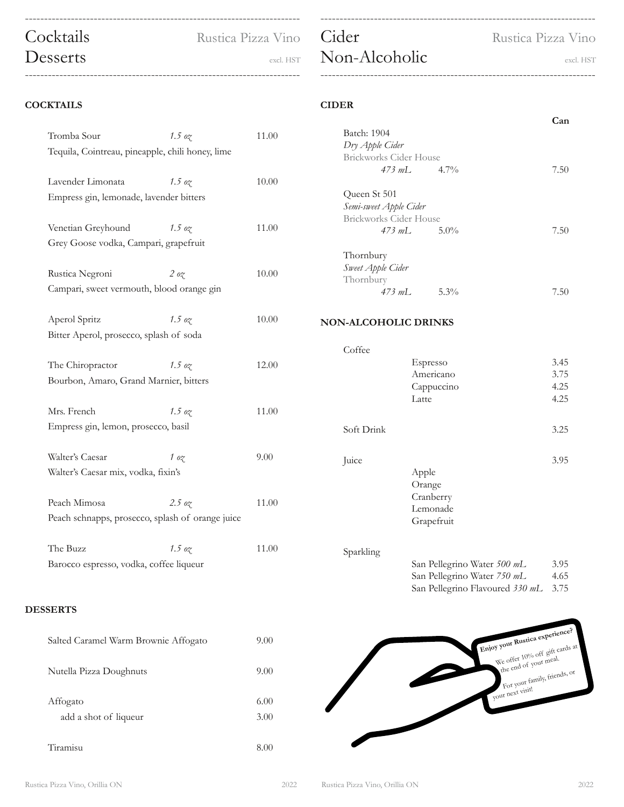| Cocktails       | Rustica Pizza Vino |
|-----------------|--------------------|
| <b>Desserts</b> | excl HST           |
|                 |                    |

### **COCKTAILS**

| Tromba Sour                                      | $1.5\,$ oz                                       | 11.00 |  |  |  |
|--------------------------------------------------|--------------------------------------------------|-------|--|--|--|
|                                                  | Tequila, Cointreau, pineapple, chili honey, lime |       |  |  |  |
|                                                  |                                                  |       |  |  |  |
| Lavender Limonata                                | $1.5\,$ oz                                       | 10.00 |  |  |  |
| Empress gin, lemonade, lavender bitters          |                                                  |       |  |  |  |
|                                                  |                                                  |       |  |  |  |
| Venetian Greyhound                               | $1.5 \text{ oz}$                                 | 11.00 |  |  |  |
| Grey Goose vodka, Campari, grapefruit            |                                                  |       |  |  |  |
|                                                  |                                                  |       |  |  |  |
| Rustica Negroni                                  | $2 \text{ oz}$                                   | 10.00 |  |  |  |
| Campari, sweet vermouth, blood orange gin        |                                                  |       |  |  |  |
|                                                  |                                                  |       |  |  |  |
| Aperol Spritz                                    | $1.5$ or                                         | 10.00 |  |  |  |
| Bitter Aperol, prosecco, splash of soda          |                                                  |       |  |  |  |
|                                                  |                                                  |       |  |  |  |
| The Chiropractor                                 | $1.5$ or                                         | 12.00 |  |  |  |
| Bourbon, Amaro, Grand Marnier, bitters           |                                                  |       |  |  |  |
|                                                  |                                                  |       |  |  |  |
| Mrs. French                                      | $1.5$ or                                         | 11.00 |  |  |  |
| Empress gin, lemon, prosecco, basil              |                                                  |       |  |  |  |
|                                                  |                                                  |       |  |  |  |
| Walter's Caesar                                  | $1\,$ oz                                         | 9.00  |  |  |  |
| Walter's Caesar mix, vodka, fixin's              |                                                  |       |  |  |  |
|                                                  |                                                  |       |  |  |  |
| Peach Mimosa                                     | $2.5 \text{ oz}$                                 | 11.00 |  |  |  |
| Peach schnapps, prosecco, splash of orange juice |                                                  |       |  |  |  |
|                                                  |                                                  |       |  |  |  |
| The Buzz                                         | $1.5$ or                                         | 11.00 |  |  |  |

Barocco espresso, vodka, coffee liqueur

### **DESSERTS**

| Salted Caramel Warm Brownie Affogato |              |
|--------------------------------------|--------------|
| Nutella Pizza Doughnuts              | 9.00         |
| Affogato<br>add a shot of liqueur    | 6.00<br>3.00 |
| Tiramisu                             |              |

# Cider Rustica Pizza Vino Non-Alcoholic excl. HST ------------------------------------------------------------------------

### **CIDER**

|         | ⊟an                                                                                   |
|---------|---------------------------------------------------------------------------------------|
|         |                                                                                       |
|         |                                                                                       |
|         |                                                                                       |
|         | 7.50                                                                                  |
|         |                                                                                       |
|         |                                                                                       |
|         |                                                                                       |
|         |                                                                                       |
| $5.0\%$ | 7.50                                                                                  |
|         |                                                                                       |
|         |                                                                                       |
|         |                                                                                       |
|         |                                                                                       |
| $5.3\%$ | 7.50                                                                                  |
|         | Brickworks Cider House<br>$4.7\%$<br>Semi-sweet Apple Cider<br>Brickworks Cider House |

------------------------------------------------------------------------

### **NON-ALCOHOLIC DRINKS**

| Coffee     |            |      |
|------------|------------|------|
|            | Espresso   | 3.45 |
|            | Americano  | 3.75 |
|            | Cappuccino | 4.25 |
|            | Latte      | 4.25 |
| Soft Drink |            | 3.25 |
|            |            |      |
| Juice      |            | 3.95 |
|            | Apple      |      |
|            | Orange     |      |
|            | Cranberry  |      |
|            | Lemonade   |      |
|            | Grapefruit |      |
| Sparkling  |            |      |

| San Pellegrino Water 500 mL          | 3.95 |
|--------------------------------------|------|
| San Pellegrino Water 750 mL          | 4.65 |
| San Pellegrino Flavoured 330 mL 3.75 |      |

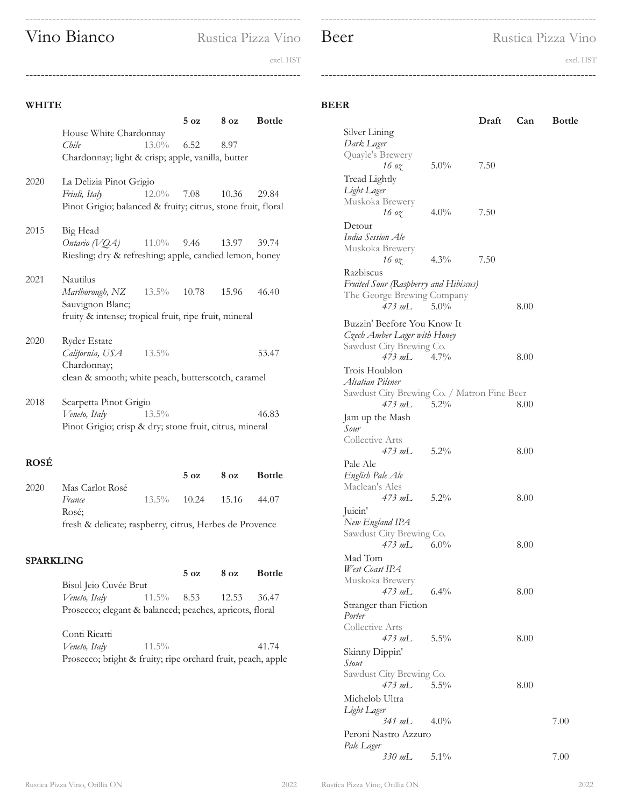Vino Bianco Rustica Pizza Vino

excl. HST

------------------------------------------------------------------------

------------------------------------------------------------------------

Beer Rustica Pizza Vino

------------------------------------------------------------------------

------------------------------------------------------------------------

excl. HST

**WHITE**

| w 1 1 1 1 1 1    |                                                                                                                                     | 5 <sub>oz</sub>  | 8 oz                     | <b>Bottle</b>          |
|------------------|-------------------------------------------------------------------------------------------------------------------------------------|------------------|--------------------------|------------------------|
|                  | House White Chardonnay<br>$13.0\%$<br>Chile<br>Chardonnay; light & crisp; apple, vanilla, butter                                    | 6.52             | 8.97                     |                        |
| 2020             | La Delizia Pinot Grigio<br>$12.0\%$ 7.08<br>Friuli, Italy<br>Pinot Grigio; balanced & fruity; citrus, stone fruit, floral           |                  | 10.36                    | 29.84                  |
| 2015             | Big Head<br>Ontario (VQA)<br>$11.0\%$ 9.46<br>Riesling; dry & refreshing; apple, candied lemon, honey                               |                  | 13.97                    | 39.74                  |
| 2021             | Nautilus<br>Marlborough, NZ 13.5% 10.78<br>Sauvignon Blanc;<br>fruity & intense; tropical fruit, ripe fruit, mineral                |                  | 15.96                    | 46.40                  |
| 2020             | <b>Ryder Estate</b><br>California, USA<br>$13.5\%$<br>Chardonnay;<br>clean & smooth; white peach, butterscotch, caramel             |                  |                          | 53.47                  |
| 2018             | Scarpetta Pinot Grigio<br>Veneto, Italy<br>$13.5\%$<br>Pinot Grigio; crisp & dry; stone fruit, citrus, mineral                      |                  |                          | 46.83                  |
| <b>ROSÉ</b>      |                                                                                                                                     | 5 <sub>oz</sub>  | $8\,\mathrm{oz}$         | <b>Bottle</b>          |
| 2020             | Mas Carlot Rosé<br>$13.5\%$<br>France<br>Rosé;<br>fresh & delicate; raspberry, citrus, Herbes de Provence                           | 10.24            | 15.16                    | 44.07                  |
| <b>SPARKLING</b> |                                                                                                                                     |                  |                          |                        |
|                  | Bisol Jeio Cuvée Brut<br>Veneto, Italy<br>$11.5\%$ 8.53<br>Prosecco; elegant & balanced; peaches, apricots, floral<br>Conti Ricatti | $5\,\mathrm{oz}$ | 8 <sub>oz</sub><br>12.53 | <b>Bottle</b><br>36.47 |
|                  | Veneto, Italy<br>$11.5\%$<br>Prosecco; bright & fruity; ripe orchard fruit, peach, apple                                            |                  |                          | 41.74                  |

## **BEER**

|                                             |         | Draft | Can  | <b>Bottle</b> |
|---------------------------------------------|---------|-------|------|---------------|
| Silver Lining                               |         |       |      |               |
| Dark Lager                                  |         |       |      |               |
| Quayle's Brewery                            |         |       |      |               |
| 16 $\mathfrak{o}$ z                         | $5.0\%$ | 7.50  |      |               |
| Tread Lightly                               |         |       |      |               |
| Light Lager                                 |         |       |      |               |
| Muskoka Brewery                             |         |       |      |               |
| $16 \, o_{\rm X}$                           | $4.0\%$ | 7.50  |      |               |
| Detour                                      |         |       |      |               |
| India Session Ale                           |         |       |      |               |
| Muskoka Brewery                             |         |       |      |               |
| $16 \text{ oz}$                             | $4.3\%$ | 7.50  |      |               |
| Razbiscus                                   |         |       |      |               |
| Fruited Sour (Raspberry and Hibiscus)       |         |       |      |               |
| The George Brewing Company                  |         |       |      |               |
| 473 mL                                      | $5.0\%$ |       | 8.00 |               |
| Buzzin' Beefore You Know It                 |         |       |      |               |
| Czech Amber Lager with Honey                |         |       |      |               |
| Sawdust City Brewing Co.                    |         |       |      |               |
| $473 \; \text{m}$ . $4.7\%$                 |         |       | 8.00 |               |
| Trois Houblon                               |         |       |      |               |
| Alsatian Pilsner                            |         |       |      |               |
| Sawdust City Brewing Co. / Matron Fine Beer |         |       |      |               |
| $473$ mI.                                   | $5.2\%$ |       | 8.00 |               |
| Jam up the Mash                             |         |       |      |               |
| Sour                                        |         |       |      |               |
| Collective Arts                             |         |       |      |               |
| $473$ mL $5.2\%$                            |         |       | 8.00 |               |
| Pale Ale                                    |         |       |      |               |
| English Pale Ale                            |         |       |      |               |
| Maclean's Ales                              |         |       |      |               |
| $473$ mL                                    | $5.2\%$ |       | 8.00 |               |
| Juicin'                                     |         |       |      |               |
| New England IPA                             |         |       |      |               |
| Sawdust City Brewing Co.                    |         |       |      |               |
| $473$ mL 6.0%                               |         |       | 8.00 |               |
| Mad Tom                                     |         |       |      |               |
| West Coast IPA                              |         |       |      |               |
| Muskoka Brewery                             |         |       |      |               |
| $473 \text{ mL}$ $6.4\%$                    |         |       | 8.00 |               |
| Stranger than Fiction                       |         |       |      |               |
| Porter                                      |         |       |      |               |
| Collective Arts                             |         |       |      |               |
| $473 \text{ mL}$ 5.5%                       |         |       | 8.00 |               |
| Skinny Dippin'                              |         |       |      |               |
| Stout                                       |         |       |      |               |
| Sawdust City Brewing Co.                    |         |       |      |               |
| $473 \text{ mL}$ 5.5%                       |         |       | 8.00 |               |
| Michelob Ultra                              |         |       |      |               |
| Light Lager                                 |         |       |      |               |
| $341$ mL $4.0\%$                            |         |       |      | 7.00          |
| Peroni Nastro Azzuro                        |         |       |      |               |
| Pale Lager                                  |         |       |      |               |
| 330 mL                                      | $5.1\%$ |       |      | 7.00          |
|                                             |         |       |      |               |